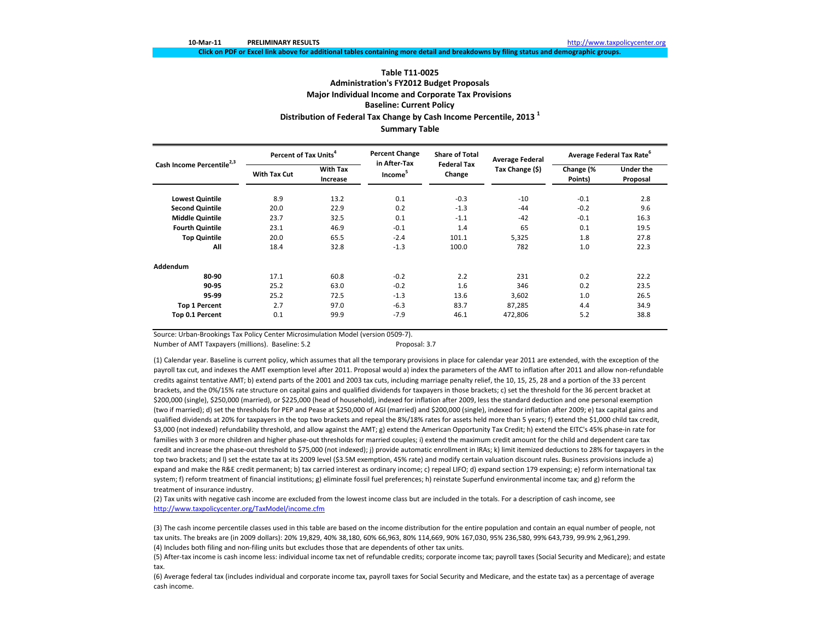# **Table T11‐0025Administration's FY2012 Budget Proposals Major Individual Income and Corporate Tax Provisions Baseline: Current Policy Distribution of Federal Tax Change by Cash Income Percentile, <sup>2013</sup> <sup>1</sup> Summary Table**

Click on PDF or Excel link above for additional tables containing more detail and breakdowns by filing status and demographic groups.

| Cash Income Percentile <sup>2,3</sup> | Percent of Tax Units <sup>4</sup> |                             | <b>Percent Change</b><br>in After-Tax | <b>Share of Total</b><br><b>Federal Tax</b> | <b>Average Federal</b> | Average Federal Tax Rate <sup>6</sup> |                              |  |
|---------------------------------------|-----------------------------------|-----------------------------|---------------------------------------|---------------------------------------------|------------------------|---------------------------------------|------------------------------|--|
|                                       | With Tax Cut                      | <b>With Tax</b><br>Increase | Income <sup>5</sup>                   | Change                                      | Tax Change (\$)        | Change (%<br>Points)                  | <b>Under the</b><br>Proposal |  |
| <b>Lowest Quintile</b>                | 8.9                               | 13.2                        | 0.1                                   | $-0.3$                                      | $-10$                  | $-0.1$                                | 2.8                          |  |
| <b>Second Quintile</b>                | 20.0                              | 22.9                        | 0.2                                   | $-1.3$                                      | -44                    | $-0.2$                                | 9.6                          |  |
| <b>Middle Quintile</b>                | 23.7                              | 32.5                        | 0.1                                   | $-1.1$                                      | $-42$                  | $-0.1$                                | 16.3                         |  |
| <b>Fourth Quintile</b>                | 23.1                              | 46.9                        | $-0.1$                                | 1.4                                         | 65                     | 0.1                                   | 19.5                         |  |
| <b>Top Quintile</b>                   | 20.0                              | 65.5                        | $-2.4$                                | 101.1                                       | 5,325                  | 1.8                                   | 27.8                         |  |
| All                                   | 18.4                              | 32.8                        | $-1.3$                                | 100.0                                       | 782                    | 1.0                                   | 22.3                         |  |
| Addendum                              |                                   |                             |                                       |                                             |                        |                                       |                              |  |
| 80-90                                 | 17.1                              | 60.8                        | $-0.2$                                | 2.2                                         | 231                    | 0.2                                   | 22.2                         |  |
| 90-95                                 | 25.2                              | 63.0                        | $-0.2$                                | 1.6                                         | 346                    | 0.2                                   | 23.5                         |  |
| 95-99                                 | 25.2                              | 72.5                        | $-1.3$                                | 13.6                                        | 3,602                  | 1.0                                   | 26.5                         |  |
| <b>Top 1 Percent</b>                  | 2.7                               | 97.0                        | $-6.3$                                | 83.7                                        | 87,285                 | 4.4                                   | 34.9                         |  |
| Top 0.1 Percent                       | 0.1                               | 99.9                        | $-7.9$                                | 46.1                                        | 472,806                | 5.2                                   | 38.8                         |  |

Source: Urban‐Brookings Tax Policy Center Microsimulation Model (version 0509‐7).

Number of AMT Taxpayers (millions). Baseline: 5.2 Proposal: 3.7

(1) Calendar year. Baseline is current policy, which assumes that all the temporary provisions in place for calendar year 2011 are extended, with the exception of the payroll tax cut, and indexes the AMT exemption level after 2011. Proposal would a) index the parameters of the AMT to inflation after 2011 and allow non-refundable credits against tentative AMT; b) extend parts of the 2001 and 2003 tax cuts, including marriage penalty relief, the 10, 15, 25, 28 and <sup>a</sup> portion of the 33 percent brackets, and the 0%/15% rate structure on capital gains and qualified dividends for taxpayers in those brackets; c) set the threshold for the 36 percent bracket at \$200,000 (single), \$250,000 (married), or \$225,000 (head of household), indexed for inflation after 2009, less the standard deduction and one personal exemption (two if married); d) set the thresholds for PEP and Pease at \$250,000 of AGI (married) and \$200,000 (single), indexed for inflation after 2009; e) tax capital gains and qualified dividends at 20% for taxpayers in the top two brackets and repeal the 8%/18% rates for assets held more than <sup>5</sup> years; f) extend the \$1,000 child tax credit, \$3,000 (not indexed) refundability threshold, and allow against the AMT; g) extend the American Opportunity Tax Credit; h) extend the EITC's 45% phase-in rate for families with 3 or more children and higher phase‐out thresholds for married couples; i) extend the maximum credit amount for the child and dependent care tax credit and increase the phase‐out threshold to \$75,000 (not indexed); j) provide automatic enrollment in IRAs; k) limit itemized deductions to 28% for taxpayers in the top two brackets; and l) set the estate tax at its 2009 level (\$3.5M exemption, 45% rate) and modify certain valuation discount rules. Business provisions include a) expand and make the R&E credit permanent; b) tax carried interest as ordinary income; c) repeal LIFO; d) expand section 179 expensing; e) reform international tax system; f) reform treatment of financial institutions; g) eliminate fossil fuel preferences; h) reinstate Superfund environmental income tax; and g) reform the treatment of insurance industry.

(2) Tax units with negative cash income are excluded from the lowest income class but are included in the totals. For <sup>a</sup> description of cash income, see http://www.taxpolicycenter.org/TaxModel/income.cfm

(4) Includes both filing and non‐filing units but excludes those that are dependents of other tax units. (3) The cash income percentile classes used in this table are based on the income distribution for the entire population and contain an equal number of people, not tax units. The breaks are (in 2009 dollars): 20% 19,829, 40% 38,180, 60% 66,963, 80% 114,669, 90% 167,030, 95% 236,580, 99% 643,739, 99.9% 2,961,299.

(5) After‐tax income is cash income less: individual income tax net of refundable credits; corporate income tax; payroll taxes (Social Security and Medicare); and estate tax.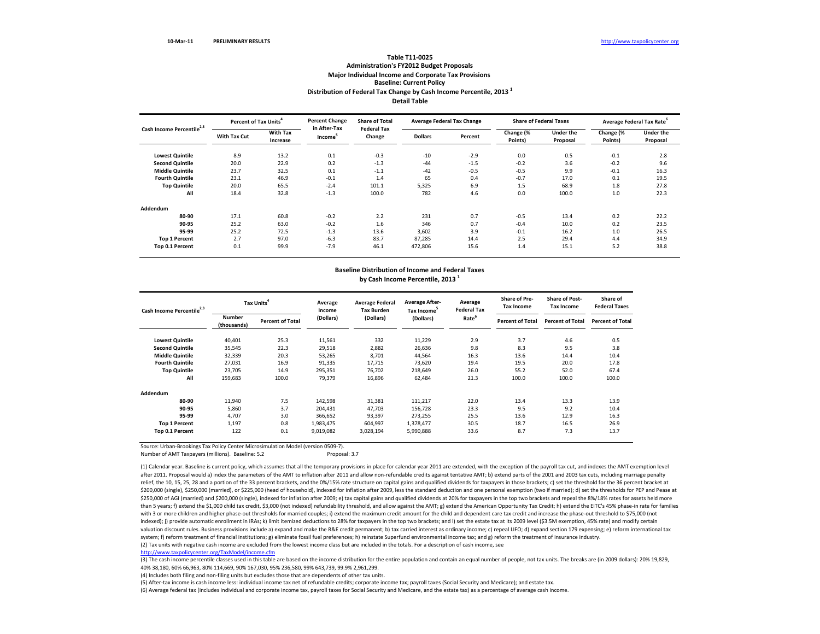## **Distribution of Federal Tax Change by Cash Income Percentile, <sup>2013</sup> <sup>1</sup> Detail TableTable T11‐0025Administration's FY2012 Budget Proposals Major Individual Income and Corporate Tax Provisions Baseline: Current Policy**

| Cash Income Percentile <sup>2,3</sup> | Percent of Tax Units <sup>4</sup> |                             | <b>Percent Change</b>               | <b>Share of Total</b>        |                | <b>Average Federal Tax Change</b> |                      | <b>Share of Federal Taxes</b> | Average Federal Tax Rate |                              |
|---------------------------------------|-----------------------------------|-----------------------------|-------------------------------------|------------------------------|----------------|-----------------------------------|----------------------|-------------------------------|--------------------------|------------------------------|
|                                       | With Tax Cut                      | <b>With Tax</b><br>Increase | in After-Tax<br>Income <sup>5</sup> | <b>Federal Tax</b><br>Change | <b>Dollars</b> | Percent                           | Change (%<br>Points) | <b>Under the</b><br>Proposal  | Change (%<br>Points)     | <b>Under the</b><br>Proposal |
| <b>Lowest Quintile</b>                | 8.9                               | 13.2                        | 0.1                                 | $-0.3$                       | $-10$          | $-2.9$                            | 0.0                  | 0.5                           | $-0.1$                   | 2.8                          |
| <b>Second Quintile</b>                | 20.0                              | 22.9                        | 0.2                                 | $-1.3$                       | $-44$          | $-1.5$                            | $-0.2$               | 3.6                           | $-0.2$                   | 9.6                          |
| <b>Middle Quintile</b>                | 23.7                              | 32.5                        | 0.1                                 | $-1.1$                       | $-42$          | $-0.5$                            | $-0.5$               | 9.9                           | $-0.1$                   | 16.3                         |
| <b>Fourth Quintile</b>                | 23.1                              | 46.9                        | $-0.1$                              | 1.4                          | 65             | 0.4                               | $-0.7$               | 17.0                          | 0.1                      | 19.5                         |
| <b>Top Quintile</b>                   | 20.0                              | 65.5                        | $-2.4$                              | 101.1                        | 5,325          | 6.9                               | 1.5                  | 68.9                          | 1.8                      | 27.8                         |
| All                                   | 18.4                              | 32.8                        | $-1.3$                              | 100.0                        | 782            | 4.6                               | 0.0                  | 100.0                         | 1.0                      | 22.3                         |
| Addendum                              |                                   |                             |                                     |                              |                |                                   |                      |                               |                          |                              |
| 80-90                                 | 17.1                              | 60.8                        | $-0.2$                              | 2.2                          | 231            | 0.7                               | $-0.5$               | 13.4                          | 0.2                      | 22.2                         |
| 90-95                                 | 25.2                              | 63.0                        | $-0.2$                              | 1.6                          | 346            | 0.7                               | $-0.4$               | 10.0                          | 0.2                      | 23.5                         |
| 95-99                                 | 25.2                              | 72.5                        | $-1.3$                              | 13.6                         | 3,602          | 3.9                               | $-0.1$               | 16.2                          | 1.0                      | 26.5                         |
| <b>Top 1 Percent</b>                  | 2.7                               | 97.0                        | $-6.3$                              | 83.7                         | 87,285         | 14.4                              | 2.5                  | 29.4                          | 4.4                      | 34.9                         |
| Top 0.1 Percent                       | 0.1                               | 99.9                        | $-7.9$                              | 46.1                         | 472,806        | 15.6                              | 1.4                  | 15.1                          | 5.2                      | 38.8                         |

## **Baseline Distribution of Income and Federal Taxes by Cash Income Percentile, <sup>2013</sup> <sup>1</sup>**

| Cash Income Percentile <sup>2,3</sup> |                              | Tax Units <sup>4</sup>  |           | <b>Average Federal</b><br><b>Tax Burden</b> | <b>Average After-</b><br>Tax Income <sup>5</sup> | Average<br><b>Federal Tax</b> | <b>Share of Pre-</b><br><b>Tax Income</b> | <b>Share of Post-</b><br><b>Tax Income</b> | Share of<br><b>Federal Taxes</b> |  |
|---------------------------------------|------------------------------|-------------------------|-----------|---------------------------------------------|--------------------------------------------------|-------------------------------|-------------------------------------------|--------------------------------------------|----------------------------------|--|
|                                       | <b>Number</b><br>(thousands) | <b>Percent of Total</b> | (Dollars) | (Dollars)                                   | (Dollars)                                        | Rate <sup>6</sup>             | <b>Percent of Total</b>                   | <b>Percent of Total</b>                    | <b>Percent of Total</b>          |  |
| <b>Lowest Quintile</b>                | 40,401                       | 25.3                    | 11,561    | 332                                         | 11,229                                           | 2.9                           | 3.7                                       | 4.6                                        | 0.5                              |  |
| <b>Second Quintile</b>                | 35,545                       | 22.3                    | 29,518    | 2,882                                       | 26,636                                           | 9.8                           | 8.3                                       | 9.5                                        | 3.8                              |  |
| <b>Middle Quintile</b>                | 32,339                       | 20.3                    | 53,265    | 8,701                                       | 44,564                                           | 16.3                          | 13.6                                      | 14.4                                       | 10.4                             |  |
| <b>Fourth Quintile</b>                | 27,031                       | 16.9                    | 91,335    | 17,715                                      | 73,620                                           | 19.4                          | 19.5                                      | 20.0                                       | 17.8                             |  |
| <b>Top Quintile</b>                   | 23,705                       | 14.9                    | 295,351   | 76,702                                      | 218,649                                          | 26.0                          | 55.2                                      | 52.0                                       | 67.4                             |  |
| All                                   | 159,683                      | 100.0                   | 79,379    | 16,896                                      | 62,484                                           | 21.3                          | 100.0                                     | 100.0                                      | 100.0                            |  |
| Addendum                              |                              |                         |           |                                             |                                                  |                               |                                           |                                            |                                  |  |
| 80-90                                 | 11.940                       | 7.5                     | 142,598   | 31,381                                      | 111,217                                          | 22.0                          | 13.4                                      | 13.3                                       | 13.9                             |  |
| 90-95                                 | 5,860                        | 3.7                     | 204,431   | 47,703                                      | 156,728                                          | 23.3                          | 9.5                                       | 9.2                                        | 10.4                             |  |
| 95-99                                 | 4,707                        | 3.0                     | 366,652   | 93,397                                      | 273,255                                          | 25.5                          | 13.6                                      | 12.9                                       | 16.3                             |  |
| <b>Top 1 Percent</b>                  | 1,197                        | 0.8                     | 1,983,475 | 604,997                                     | 1,378,477                                        | 30.5                          | 18.7                                      | 16.5                                       | 26.9                             |  |
| Top 0.1 Percent                       | 122                          | 0.1                     | 9,019,082 | 3,028,194                                   | 5,990,888                                        | 33.6                          | 8.7                                       | 7.3                                        | 13.7                             |  |

Source: Urban‐Brookings Tax Policy Center Microsimulation Model (version 0509‐7).

Number of AMT Taxpayers (millions). Baseline: 5.2 **Proposal: 3.7** Proposal: 3.7

(2) Tax units with negative cash income are excluded from the lowest income class but are included in the totals. For <sup>a</sup> description of cash income, see (1) Calendar year. Baseline is current policy, which assumes that all the temporary provisions in place for calendar year 2011 are extended, with the exception of the payroll tax cut, and indexes the AMT exemption level after 2011. Proposal would a) index the parameters of the AMT to inflation after 2011 and allow non‐refundable credits against tentative AMT; b) extend parts of the 2001 and 2003 tax cuts, including marriage penalty relief, the 10, 15, 25, 28 and a portion of the 33 percent brackets, and the 0%/15% rate structure on capital gains and qualified dividends for taxpayers in those brackets; c) set the threshold for the 36 percent bracket a \$200,000 (single), \$250,000 (married), or \$225,000 (head of household), indexed for inflation after 2009, less the standard deduction and one personal exemption (two if married); d) set the thresholds for PEP and Pease at \$250,000 of AGI (married) and \$200,000 (single), indexed for inflation after 2009; e) tax capital gains and qualified dividends at 20% for taxpayers in the top two brackets and repeal the 8%/18% rates for assets held more than 5 years; f) extend the \$1,000 child tax credit, \$3,000 (not indexed) refundability threshold, and allow against the AMT; g) extend the American Opportunity Tax Credit; h) extend the EITC's 45% phase-in rate for famili with 3 or more children and higher phase‐out thresholds for married couples; i) extend the maximum credit amount for the child and dependent care tax credit and increase the phase‐out threshold to \$75,000 (not indexed); i) provide automatic enrollment in IRAs; k) limit itemized deductions to 28% for taxpayers in the top two brackets; and I) set the estate tax at its 2009 level (\$3.5M exemption, 45% rate) and modify certain valuation discount rules. Business provisions include a) expand and make the R&E credit permanent; b) tax carried interest as ordinary income; c) repeal LIFO; d) expand section 179 expensing; e) reform international tax system; f) reform treatment of financial institutions; g) eliminate fossil fuel preferences; h) reinstate Superfund environmental income tax; and g) reform the treatment of insurance industry.

http://www.taxpolicycenter.org/TaxModel/income.cfm

(3) The cash income percentile classes used in this table are based on the income distribution for the entire population and contain an equal number of people, not tax units. The breaks are (in 2009 dollars): 20% 19,829, 40% 38,180, 60% 66,963, 80% 114,669, 90% 167,030, 95% 236,580, 99% 643,739, 99.9% 2,961,299.

(4) Includes both filing and non‐filing units but excludes those that are dependents of other tax units.

(5) After‐tax income is cash income less: individual income tax net of refundable credits; corporate income tax; payroll taxes (Social Security and Medicare); and estate tax.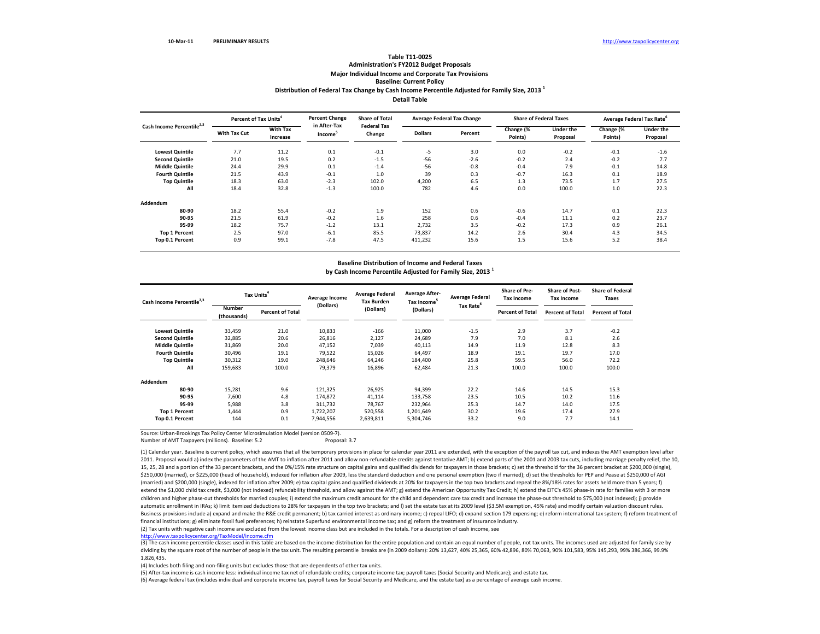#### **Table T11‐0025 Administration's FY2012 Budget Proposals Major Individual Income and Corporate Tax Provisions Baseline: Current Policy**

## **Distribution of Federal Tax Change by Cash Income Percentile Adjusted for Family Size, <sup>2013</sup> <sup>1</sup>**

**Detail Table**

|                                       | Percent of Tax Units <sup>4</sup> |                             | <b>Percent Change</b>               | <b>Share of Total</b>        |                | <b>Average Federal Tax Change</b> |                      | <b>Share of Federal Taxes</b> |                      | Average Federal Tax Rate <sup>6</sup> |
|---------------------------------------|-----------------------------------|-----------------------------|-------------------------------------|------------------------------|----------------|-----------------------------------|----------------------|-------------------------------|----------------------|---------------------------------------|
| Cash Income Percentile <sup>2,3</sup> | With Tax Cut                      | <b>With Tax</b><br>Increase | in After-Tax<br>Income <sup>5</sup> | <b>Federal Tax</b><br>Change | <b>Dollars</b> | Percent                           | Change (%<br>Points) | Under the<br>Proposal         | Change (%<br>Points) | <b>Under the</b><br>Proposal          |
| <b>Lowest Quintile</b>                | 7.7                               | 11.2                        | 0.1                                 | $-0.1$                       | $-5$           | 3.0                               | 0.0                  | $-0.2$                        | $-0.1$               | $-1.6$                                |
| <b>Second Quintile</b>                | 21.0                              | 19.5                        | 0.2                                 | $-1.5$                       | $-56$          | $-2.6$                            | $-0.2$               | 2.4                           | $-0.2$               | 7.7                                   |
| <b>Middle Quintile</b>                | 24.4                              | 29.9                        | 0.1                                 | $-1.4$                       | $-56$          | $-0.8$                            | $-0.4$               | 7.9                           | $-0.1$               | 14.8                                  |
| <b>Fourth Quintile</b>                | 21.5                              | 43.9                        | $-0.1$                              | 1.0                          | 39             | 0.3                               | $-0.7$               | 16.3                          | 0.1                  | 18.9                                  |
| <b>Top Quintile</b>                   | 18.3                              | 63.0                        | $-2.3$                              | 102.0                        | 4,200          | 6.5                               | 1.3                  | 73.5                          | 1.7                  | 27.5                                  |
| All                                   | 18.4                              | 32.8                        | $-1.3$                              | 100.0                        | 782            | 4.6                               | 0.0                  | 100.0                         | 1.0                  | 22.3                                  |
| Addendum                              |                                   |                             |                                     |                              |                |                                   |                      |                               |                      |                                       |
| 80-90                                 | 18.2                              | 55.4                        | $-0.2$                              | 1.9                          | 152            | 0.6                               | $-0.6$               | 14.7                          | 0.1                  | 22.3                                  |
| 90-95                                 | 21.5                              | 61.9                        | $-0.2$                              | 1.6                          | 258            | 0.6                               | $-0.4$               | 11.1                          | 0.2                  | 23.7                                  |
| 95-99                                 | 18.2                              | 75.7                        | $-1.2$                              | 13.1                         | 2,732          | 3.5                               | $-0.2$               | 17.3                          | 0.9                  | 26.1                                  |
| <b>Top 1 Percent</b>                  | 2.5                               | 97.0                        | $-6.1$                              | 85.5                         | 73,837         | 14.2                              | 2.6                  | 30.4                          | 4.3                  | 34.5                                  |
| Top 0.1 Percent                       | 0.9                               | 99.1                        | $-7.8$                              | 47.5                         | 411,232        | 15.6                              | 1.5                  | 15.6                          | 5.2                  | 38.4                                  |

#### **Baseline Distribution of Income and Federal Taxes by Cash Income Percentile Adjusted for Family Size, <sup>2013</sup> <sup>1</sup>**

| Cash Income Percentile <sup>2,3</sup> | Tax Units <sup>4</sup>       |                         | Average Income | <b>Average Federal</b><br><b>Tax Burden</b> | <b>Average After-</b><br>Tax Income <sup>5</sup> | <b>Average Federal</b> | Share of Pre-<br><b>Tax Income</b> | <b>Share of Post-</b><br><b>Tax Income</b> | <b>Share of Federal</b><br><b>Taxes</b> |
|---------------------------------------|------------------------------|-------------------------|----------------|---------------------------------------------|--------------------------------------------------|------------------------|------------------------------------|--------------------------------------------|-----------------------------------------|
|                                       | <b>Number</b><br>(thousands) | <b>Percent of Total</b> | (Dollars)      | (Dollars)                                   | (Dollars)                                        | Tax Rate <sup>6</sup>  | <b>Percent of Total</b>            | <b>Percent of Total</b>                    | <b>Percent of Total</b>                 |
| <b>Lowest Quintile</b>                | 33,459                       | 21.0                    | 10,833         | $-166$                                      | 11,000                                           | $-1.5$                 | 2.9                                | 3.7                                        | $-0.2$                                  |
| <b>Second Quintile</b>                | 32,885                       | 20.6                    | 26,816         | 2,127                                       | 24,689                                           | 7.9                    | 7.0                                | 8.1                                        | 2.6                                     |
| <b>Middle Quintile</b>                | 31,869                       | 20.0                    | 47,152         | 7,039                                       | 40,113                                           | 14.9                   | 11.9                               | 12.8                                       | 8.3                                     |
| <b>Fourth Quintile</b>                | 30,496                       | 19.1                    | 79,522         | 15,026                                      | 64,497                                           | 18.9                   | 19.1                               | 19.7                                       | 17.0                                    |
| <b>Top Quintile</b>                   | 30,312                       | 19.0                    | 248,646        | 64,246                                      | 184,400                                          | 25.8                   | 59.5                               | 56.0                                       | 72.2                                    |
| All                                   | 159,683                      | 100.0                   | 79,379         | 16,896                                      | 62,484                                           | 21.3                   | 100.0                              | 100.0                                      | 100.0                                   |
| Addendum                              |                              |                         |                |                                             |                                                  |                        |                                    |                                            |                                         |
| 80-90                                 | 15,281                       | 9.6                     | 121,325        | 26,925                                      | 94,399                                           | 22.2                   | 14.6                               | 14.5                                       | 15.3                                    |
| 90-95                                 | 7,600                        | 4.8                     | 174,872        | 41,114                                      | 133,758                                          | 23.5                   | 10.5                               | 10.2                                       | 11.6                                    |
| 95-99                                 | 5,988                        | 3.8                     | 311,732        | 78,767                                      | 232,964                                          | 25.3                   | 14.7                               | 14.0                                       | 17.5                                    |
| <b>Top 1 Percent</b>                  | 1,444                        | 0.9                     | 1,722,207      | 520,558                                     | 1,201,649                                        | 30.2                   | 19.6                               | 17.4                                       | 27.9                                    |
| Top 0.1 Percent                       | 144                          | 0.1                     | 7,944,556      | 2,639,811                                   | 5,304,746                                        | 33.2                   | 9.0                                | 7.7                                        | 14.1                                    |

Source: Urban‐Brookings Tax Policy Center Microsimulation Model (version 0509‐7).

Number of AMT Taxpayers (millions). Baseline: 5.2 **Proposal: 3.7** Proposal: 3.7

(1) Calendar year. Baseline is current policy, which assumes that all the temporary provisions in place for calendar year 2011 are extended, with the exception of the payroll tax cut, and indexes the AMT exemption level af 2011. Proposal would a) index the parameters of the AMT to inflation after 2011 and allow non-refundable credits against tentative AMT; b) extend parts of the 2001 and 2003 tax cuts, including marriage penalty relief, the 15, 25, 28 and a portion of the 33 percent brackets, and the 0%/15% rate structure on capital gains and qualified dividends for taxpayers in those brackets; c) set the threshold for the 36 percent bracket at \$200,000 (sing \$250,000 (married), or \$225,000 (head of household), indexed for inflation after 2009, less the standard deduction and one personal exemption (two if married); d) set the thresholds for PEP and Pease at \$250,000 of AGI (married) and \$200,000 (single), indexed for inflation after 2009; e) tax capital gains and qualified dividends at 20% for taxpayers in the top two brackets and repeal the 8%/18% rates for assets held more than <sup>5</sup> years; f) extend the \$1,000 child tax credit, \$3,000 (not indexed) refundability threshold, and allow against the AMT; g) extend the American Opportunity Tax Credit; h) extend the EITC's 45% phase‐in rate for families with 3 or more children and higher phase‐out thresholds for married couples; i) extend the maximum credit amount for the child and dependent care tax credit and increase the phase‐out threshold to \$75,000 (not indexed); j) provide automatic enrollment in IRAs; k) limit itemized deductions to 28% for taxpayers in the top two brackets; and I) set the estate tax at its 2009 level (\$3.5M exemption, 45% rate) and modify certain valuation discount rules. Business provisions include a) expand and make the R&E credit permanent; b) tax carried interest as ordinary income; c) repeal LIFO; d) expand section 179 expensing; e) reform international tax system; f) reform treatment financial institutions; g) eliminate fossil fuel preferences; h) reinstate Superfund environmental income tax; and g) reform the treatment of insurance industry.

(2) Tax units with negative cash income are excluded from the lowest income class but are included in the totals. For <sup>a</sup> description of cash income, see

http://www.taxpolicycenter.org/TaxModel/income.cfm

(3) The cash income percentile classes used in this table are based on the income distribution for the entire population and contain an equal number of people, not tax units. The incomes used are adjusted for family size b dividing by the square root of the number of people in the tax unit. The resulting percentile breaks are (in 2009 dollars): 20% 13,627, 40% 25,365, 60% 42,896, 80% 70,063, 90% 101,583, 95% 145,293, 99% 386,366, 99.9% 1,826,435.

(4) Includes both filing and non‐filing units but excludes those that are dependents of other tax units.

(5) After‐tax income is cash income less: individual income tax net of refundable credits; corporate income tax; payroll taxes (Social Security and Medicare); and estate tax.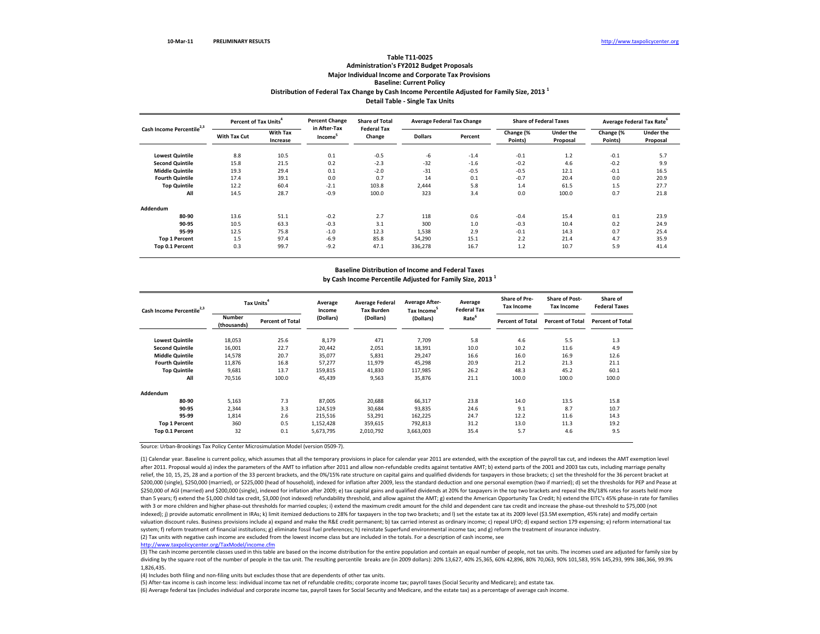## **Distribution of Federal Tax Change by Cash Income Percentile Adjusted for Family Size, <sup>2013</sup> <sup>1</sup> Detail Table ‐ Single Tax Units Table T11‐0025Administration's FY2012 Budget Proposals Major Individual Income and Corporate Tax Provisions Baseline: Current Policy**

| Cash Income Percentile <sup>2,3</sup> | Percent of Tax Units <sup>4</sup> |                             | <b>Percent Change</b>               | <b>Share of Total</b>        | <b>Average Federal Tax Change</b> |         |                      | <b>Share of Federal Taxes</b> | Average Federal Tax Rate <sup>6</sup> |                              |
|---------------------------------------|-----------------------------------|-----------------------------|-------------------------------------|------------------------------|-----------------------------------|---------|----------------------|-------------------------------|---------------------------------------|------------------------------|
|                                       | <b>With Tax Cut</b>               | <b>With Tax</b><br>Increase | in After-Tax<br>Income <sup>5</sup> | <b>Federal Tax</b><br>Change | <b>Dollars</b>                    | Percent | Change (%<br>Points) | Under the<br>Proposal         | Change (%<br>Points)                  | <b>Under the</b><br>Proposal |
| <b>Lowest Quintile</b>                | 8.8                               | 10.5                        | 0.1                                 | $-0.5$                       | $-6$                              | $-1.4$  | $-0.1$               | 1.2                           | $-0.1$                                | 5.7                          |
| <b>Second Quintile</b>                | 15.8                              | 21.5                        | 0.2                                 | $-2.3$                       | $-32$                             | $-1.6$  | $-0.2$               | 4.6                           | $-0.2$                                | 9.9                          |
| <b>Middle Quintile</b>                | 19.3                              | 29.4                        | 0.1                                 | $-2.0$                       | $-31$                             | $-0.5$  | $-0.5$               | 12.1                          | $-0.1$                                | 16.5                         |
| <b>Fourth Quintile</b>                | 17.4                              | 39.1                        | 0.0                                 | 0.7                          | 14                                | 0.1     | $-0.7$               | 20.4                          | 0.0                                   | 20.9                         |
| <b>Top Quintile</b>                   | 12.2                              | 60.4                        | $-2.1$                              | 103.8                        | 2,444                             | 5.8     | 1.4                  | 61.5                          | 1.5                                   | 27.7                         |
| All                                   | 14.5                              | 28.7                        | $-0.9$                              | 100.0                        | 323                               | 3.4     | 0.0                  | 100.0                         | 0.7                                   | 21.8                         |
| Addendum                              |                                   |                             |                                     |                              |                                   |         |                      |                               |                                       |                              |
| 80-90                                 | 13.6                              | 51.1                        | $-0.2$                              | 2.7                          | 118                               | 0.6     | $-0.4$               | 15.4                          | 0.1                                   | 23.9                         |
| 90-95                                 | 10.5                              | 63.3                        | $-0.3$                              | 3.1                          | 300                               | 1.0     | $-0.3$               | 10.4                          | 0.2                                   | 24.9                         |
| 95-99                                 | 12.5                              | 75.8                        | $-1.0$                              | 12.3                         | 1,538                             | 2.9     | $-0.1$               | 14.3                          | 0.7                                   | 25.4                         |
| <b>Top 1 Percent</b>                  | 1.5                               | 97.4                        | $-6.9$                              | 85.8                         | 54,290                            | 15.1    | 2.2                  | 21.4                          | 4.7                                   | 35.9                         |
| Top 0.1 Percent                       | 0.3                               | 99.7                        | $-9.2$                              | 47.1                         | 336,278                           | 16.7    | 1.2                  | 10.7                          | 5.9                                   | 41.4                         |

### **Baseline Distribution of Income and Federal Taxes by Cash Income Percentile Adjusted for Family Size, <sup>2013</sup> <sup>1</sup>**

| Cash Income Percentile <sup>2,3</sup> | Tax Units <sup>4</sup>       |                         | Average<br>Income | <b>Average Federal</b><br><b>Tax Burden</b> | <b>Average After-</b><br>Tax Income <sup>5</sup> | Average<br><b>Federal Tax</b> | <b>Share of Pre-</b><br><b>Tax Income</b> | <b>Share of Post-</b><br><b>Tax Income</b> | Share of<br><b>Federal Taxes</b> |
|---------------------------------------|------------------------------|-------------------------|-------------------|---------------------------------------------|--------------------------------------------------|-------------------------------|-------------------------------------------|--------------------------------------------|----------------------------------|
|                                       | <b>Number</b><br>(thousands) | <b>Percent of Total</b> | (Dollars)         | (Dollars)                                   | (Dollars)                                        | Rate <sup>6</sup>             | <b>Percent of Total</b>                   | <b>Percent of Total</b>                    | <b>Percent of Total</b>          |
| <b>Lowest Quintile</b>                | 18,053                       | 25.6                    | 8,179             | 471                                         | 7,709                                            | 5.8                           | 4.6                                       | 5.5                                        | 1.3                              |
| <b>Second Quintile</b>                | 16,001                       | 22.7                    | 20,442            | 2,051                                       | 18,391                                           | 10.0                          | 10.2                                      | 11.6                                       | 4.9                              |
| <b>Middle Quintile</b>                | 14,578                       | 20.7                    | 35,077            | 5,831                                       | 29,247                                           | 16.6                          | 16.0                                      | 16.9                                       | 12.6                             |
| <b>Fourth Quintile</b>                | 11,876                       | 16.8                    | 57,277            | 11,979                                      | 45,298                                           | 20.9                          | 21.2                                      | 21.3                                       | 21.1                             |
| <b>Top Quintile</b>                   | 9.681                        | 13.7                    | 159,815           | 41,830                                      | 117.985                                          | 26.2                          | 48.3                                      | 45.2                                       | 60.1                             |
| All                                   | 70,516                       | 100.0                   | 45,439            | 9,563                                       | 35,876                                           | 21.1                          | 100.0                                     | 100.0                                      | 100.0                            |
| Addendum                              |                              |                         |                   |                                             |                                                  |                               |                                           |                                            |                                  |
| 80-90                                 | 5,163                        | 7.3                     | 87,005            | 20,688                                      | 66,317                                           | 23.8                          | 14.0                                      | 13.5                                       | 15.8                             |
| 90-95                                 | 2,344                        | 3.3                     | 124,519           | 30,684                                      | 93,835                                           | 24.6                          | 9.1                                       | 8.7                                        | 10.7                             |
| 95-99                                 | 1,814                        | 2.6                     | 215,516           | 53,291                                      | 162,225                                          | 24.7                          | 12.2                                      | 11.6                                       | 14.3                             |
| <b>Top 1 Percent</b>                  | 360                          | 0.5                     | 1,152,428         | 359,615                                     | 792,813                                          | 31.2                          | 13.0                                      | 11.3                                       | 19.2                             |
| Top 0.1 Percent                       | 32                           | 0.1                     | 5,673,795         | 2,010,792                                   | 3,663,003                                        | 35.4                          | 5.7                                       | 4.6                                        | 9.5                              |

Source: Urban‐Brookings Tax Policy Center Microsimulation Model (version 0509‐7).

(2) Tax units with negative cash income are excluded from the lowest income class but are included in the totals. For <sup>a</sup> description of cash income, see (1) Calendar year. Baseline is current policy, which assumes that all the temporary provisions in place for calendar year 2011 are extended, with the exception of the payroll tax cut, and indexes the AMT exemption level after 2011. Proposal would a) index the parameters of the AMT to inflation after 2011 and allow non‐refundable credits against tentative AMT; b) extend parts of the 2001 and 2003 tax cuts, including marriage penalty relief, the 10, 15, 25, 28 and a portion of the 33 percent brackets, and the 0%/15% rate structure on capital gains and qualified dividends for taxpayers in those brackets; c) set the threshold for the 36 percent bracket a \$200.000 (single). \$250.000 (married), or \$225,000 (head of household), indexed for inflation after 2009, less the standard deduction and one personal exemption (two if married); d) set the thresholds for PEP and Pease at \$250,000 of AGI (married) and \$200,000 (single), indexed for inflation after 2009; e) tax capital gains and qualified dividends at 20% for taxpayers in the top two brackets and repeal the 8%/18% rates for assets held more than 5 years; f) extend the \$1,000 child tax credit, \$3,000 (not indexed) refundability threshold, and allow against the AMT; g) extend the American Opportunity Tax Credit; h) extend the EITC's 45% phase-in rate for famili with 3 or more children and higher phase‐out thresholds for married couples; i) extend the maximum credit amount for the child and dependent care tax credit and increase the phase‐out threshold to \$75,000 (not indexed); j) provide automatic enrollment in IRAs; k) limit itemized deductions to 28% for taxpayers in the top two brackets; and I) set the estate tax at its 2009 level (\$3.5M exemption, 45% rate) and modify certain valuation discount rules. Business provisions include a) expand and make the R&E credit permanent; b) tax carried interest as ordinary income; c) repeal LIFO; d) expand section 179 expensing; e) reform international tax system; f) reform treatment of financial institutions; g) eliminate fossil fuel preferences; h) reinstate Superfund environmental income tax; and g) reform the treatment of insurance industry.

http://www.taxpolicycenter.org/TaxModel/income.cfm

(3) The cash income percentile classes used in this table are based on the income distribution for the entire population and contain an equal number of people, not tax units. The incomes used are adjusted for family size b dividing by the square root of the number of people in the tax unit. The resulting percentile breaks are (in 2009 dollars): 20% 13,627, 40% 25,365, 60% 42,896, 80% 70,063, 90% 101,583, 95% 145,293, 99% 386,366, 99.9% 1,826,435.

(4) Includes both filing and non‐filing units but excludes those that are dependents of other tax units.

(5) After‐tax income is cash income less: individual income tax net of refundable credits; corporate income tax; payroll taxes (Social Security and Medicare); and estate tax.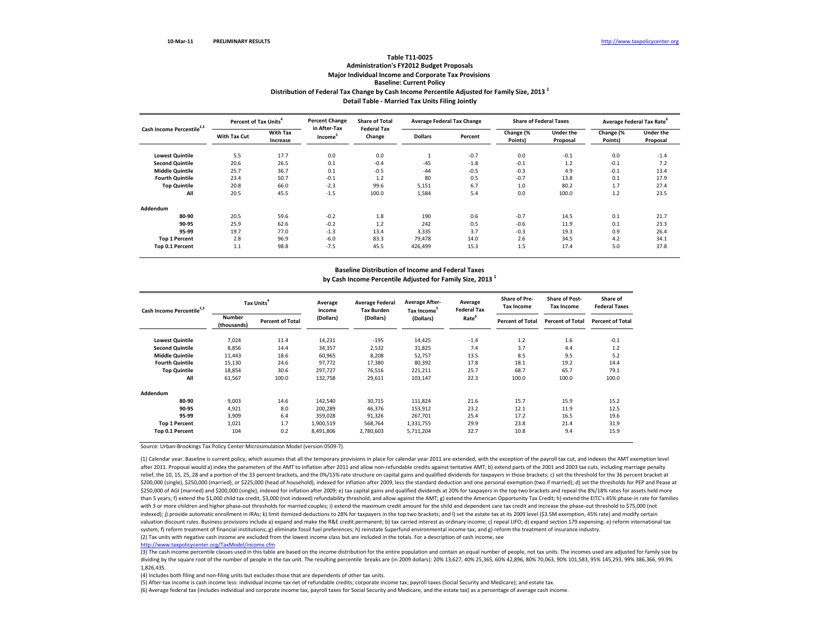## **Distribution of Federal Tax Change by Cash Income Percentile Adjusted for Family Size, <sup>2013</sup> <sup>1</sup> Detail Table ‐ Married Tax Units Filing Jointly Table T11‐0025Administration's FY2012 Budget Proposals Major Individual Income and Corporate Tax Provisions Baseline: Current Policy**

| Cash Income Percentile <sup>2,3</sup> | Percent of Tax Units <sup>4</sup> |                             | <b>Percent Change</b>               | <b>Share of Total</b>        |                | <b>Average Federal Tax Change</b> |                      | <b>Share of Federal Taxes</b> | Average Federal Tax Rate |                              |
|---------------------------------------|-----------------------------------|-----------------------------|-------------------------------------|------------------------------|----------------|-----------------------------------|----------------------|-------------------------------|--------------------------|------------------------------|
|                                       | With Tax Cut                      | <b>With Tax</b><br>Increase | in After-Tax<br>Income <sup>5</sup> | <b>Federal Tax</b><br>Change | <b>Dollars</b> | Percent                           | Change (%<br>Points) | Under the<br>Proposal         | Change (%<br>Points)     | <b>Under the</b><br>Proposal |
| <b>Lowest Quintile</b>                | 5.5                               | 17.7                        | 0.0                                 | 0.0                          |                | $-0.7$                            | 0.0                  | $-0.1$                        | 0.0                      | $-1.4$                       |
| <b>Second Quintile</b>                | 20.6                              | 26.5                        | 0.1                                 | $-0.4$                       | $-45$          | $-1.8$                            | $-0.1$               | 1.2                           | $-0.1$                   | 7.2                          |
| <b>Middle Quintile</b>                | 25.7                              | 36.7                        | 0.1                                 | $-0.5$                       | $-44$          | $-0.5$                            | $-0.3$               | 4.9                           | $-0.1$                   | 13.4                         |
| <b>Fourth Quintile</b>                | 23.4                              | 50.7                        | $-0.1$                              | 1.2                          | 80             | 0.5                               | $-0.7$               | 13.8                          | 0.1                      | 17.9                         |
| <b>Top Quintile</b>                   | 20.8                              | 66.0                        | $-2.3$                              | 99.6                         | 5,151          | 6.7                               | 1.0                  | 80.2                          | 1.7                      | 27.4                         |
| All                                   | 20.5                              | 45.5                        | $-1.5$                              | 100.0                        | 1,584          | 5.4                               | 0.0                  | 100.0                         | 1.2                      | 23.5                         |
| Addendum                              |                                   |                             |                                     |                              |                |                                   |                      |                               |                          |                              |
| 80-90                                 | 20.5                              | 59.6                        | $-0.2$                              | 1.8                          | 190            | 0.6                               | $-0.7$               | 14.5                          | 0.1                      | 21.7                         |
| 90-95                                 | 25.9                              | 62.6                        | $-0.2$                              | 1.2                          | 242            | 0.5                               | $-0.6$               | 11.9                          | 0.1                      | 23.3                         |
| 95-99                                 | 19.7                              | 77.0                        | $-1.3$                              | 13.4                         | 3,335          | 3.7                               | $-0.3$               | 19.3                          | 0.9                      | 26.4                         |
| <b>Top 1 Percent</b>                  | 2.8                               | 96.9                        | $-6.0$                              | 83.3                         | 79,478         | 14.0                              | 2.6                  | 34.5                          | 4.2                      | 34.1                         |
| Top 0.1 Percent                       | 1.1                               | 98.8                        | $-7.5$                              | 45.5                         | 426,499        | 15.3                              | 1.5                  | 17.4                          | 5.0                      | 37.8                         |

### **Baseline Distribution of Income and Federal Taxes by Cash Income Percentile Adjusted for Family Size, <sup>2013</sup> <sup>1</sup>**

| Cash Income Percentile <sup>2,3</sup> | Tax Units <sup>4</sup>       |                         | Average<br>Income | <b>Average Federal</b><br><b>Tax Burden</b> | <b>Average After-</b><br>Tax Income | Average<br><b>Federal Tax</b> | <b>Share of Pre-</b><br><b>Tax Income</b> | <b>Share of Post-</b><br><b>Tax Income</b> | Share of<br><b>Federal Taxes</b> |
|---------------------------------------|------------------------------|-------------------------|-------------------|---------------------------------------------|-------------------------------------|-------------------------------|-------------------------------------------|--------------------------------------------|----------------------------------|
|                                       | <b>Number</b><br>(thousands) | <b>Percent of Total</b> | (Dollars)         | (Dollars)                                   | (Dollars)                           | Rate <sup>6</sup>             | <b>Percent of Total</b>                   | <b>Percent of Total</b>                    | <b>Percent of Total</b>          |
| <b>Lowest Quintile</b>                | 7,024                        | 11.4                    | 14,231            | $-195$                                      | 14,425                              | $-1.4$                        | 1.2                                       | 1.6                                        | $-0.1$                           |
| <b>Second Quintile</b>                | 8,856                        | 14.4                    | 34,357            | 2,532                                       | 31,825                              | 7.4                           | 3.7                                       | 4.4                                        | 1.2                              |
| <b>Middle Quintile</b>                | 11,443                       | 18.6                    | 60,965            | 8,208                                       | 52,757                              | 13.5                          | 8.5                                       | 9.5                                        | 5.2                              |
| <b>Fourth Quintile</b>                | 15,130                       | 24.6                    | 97,772            | 17,380                                      | 80,392                              | 17.8                          | 18.1                                      | 19.2                                       | 14.4                             |
| <b>Top Quintile</b>                   | 18,854                       | 30.6                    | 297,727           | 76,516                                      | 221,211                             | 25.7                          | 68.7                                      | 65.7                                       | 79.1                             |
| All                                   | 61,567                       | 100.0                   | 132,758           | 29,611                                      | 103,147                             | 22.3                          | 100.0                                     | 100.0                                      | 100.0                            |
| Addendum                              |                              |                         |                   |                                             |                                     |                               |                                           |                                            |                                  |
| 80-90                                 | 9,003                        | 14.6                    | 142,540           | 30,715                                      | 111,824                             | 21.6                          | 15.7                                      | 15.9                                       | 15.2                             |
| 90-95                                 | 4,921                        | 8.0                     | 200,289           | 46,376                                      | 153,912                             | 23.2                          | 12.1                                      | 11.9                                       | 12.5                             |
| 95-99                                 | 3,909                        | 6.4                     | 359,028           | 91,326                                      | 267,701                             | 25.4                          | 17.2                                      | 16.5                                       | 19.6                             |
| <b>Top 1 Percent</b>                  | 1,021                        | 1.7                     | 1,900,519         | 568,764                                     | 1,331,755                           | 29.9                          | 23.8                                      | 21.4                                       | 31.9                             |
| Top 0.1 Percent                       | 104                          | 0.2                     | 8,491,806         | 2,780,603                                   | 5,711,204                           | 32.7                          | 10.8                                      | 9.4                                        | 15.9                             |

Source: Urban‐Brookings Tax Policy Center Microsimulation Model (version 0509‐7).

(2) Tax units with negative cash income are excluded from the lowest income class but are included in the totals. For <sup>a</sup> description of cash income, see (1) Calendar year. Baseline is current policy, which assumes that all the temporary provisions in place for calendar year 2011 are extended, with the exception of the payroll tax cut, and indexes the AMT exemption level after 2011. Proposal would a) index the parameters of the AMT to inflation after 2011 and allow non‐refundable credits against tentative AMT; b) extend parts of the 2001 and 2003 tax cuts, including marriage penalty relief, the 10, 15, 25, 28 and a portion of the 33 percent brackets, and the 0%/15% rate structure on capital gains and qualified dividends for taxpayers in those brackets; c) set the threshold for the 36 percent bracket a \$200,000 (single), \$250,000 (married), or \$225,000 (head of household), indexed for inflation after 2009, less the standard deduction and one personal exemption (two if married); d) set the thresholds for PEP and Pease at \$250,000 of AGI (married) and \$200,000 (single), indexed for inflation after 2009; e) tax capital gains and qualified dividends at 20% for taxpayers in the top two brackets and repeal the 8%/18% rates for assets held more than 5 years; f) extend the \$1,000 child tax credit, \$3,000 (not indexed) refundability threshold, and allow against the AMT; g) extend the American Opportunity Tax Credit; h) extend the EITC's 45% phase-in rate for famili with 3 or more children and higher phase‐out thresholds for married couples; i) extend the maximum credit amount for the child and dependent care tax credit and increase the phase‐out threshold to \$75,000 (not indexed); j) provide automatic enrollment in IRAs; k) limit itemized deductions to 28% for taxpayers in the top two brackets; and I) set the estate tax at its 2009 level (\$3.5M exemption, 45% rate) and modify certain valuation discount rules. Business provisions include a) expand and make the R&E credit permanent; b) tax carried interest as ordinary income; c) repeal LIFO; d) expand section 179 expensing; e) reform international tax system; f) reform treatment of financial institutions; g) eliminate fossil fuel preferences; h) reinstate Superfund environmental income tax; and g) reform the treatment of insurance industry.

http://www.taxpolicycenter.org/TaxModel/income.cfm

(3) The cash income percentile classes used in this table are based on the income distribution for the entire population and contain an equal number of people, not tax units. The incomes used are adjusted for family size b dividing by the square root of the number of people in the tax unit. The resulting percentile breaks are (in 2009 dollars): 20% 13,627, 40% 25,365, 60% 42,896, 80% 70,063, 90% 101,583, 95% 145,293, 99% 386,366, 99.9% 1,826,435.

(4) Includes both filing and non‐filing units but excludes those that are dependents of other tax units.

(5) After‐tax income is cash income less: individual income tax net of refundable credits; corporate income tax; payroll taxes (Social Security and Medicare); and estate tax.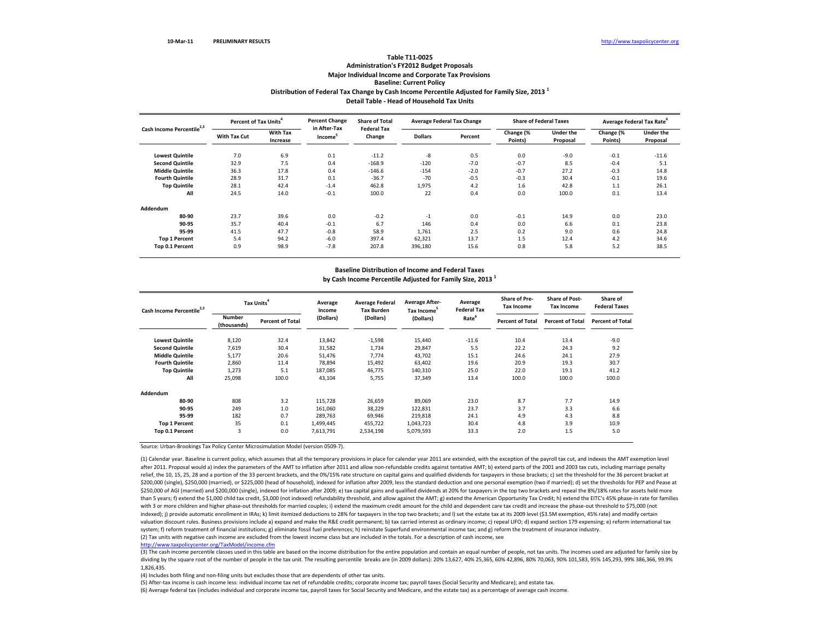## **Distribution of Federal Tax Change by Cash Income Percentile Adjusted for Family Size, <sup>2013</sup> <sup>1</sup> Detail Table ‐ Head of Household Tax Units Table T11‐0025Administration's FY2012 Budget Proposals Major Individual Income and Corporate Tax Provisions Baseline: Current Policy**

| Cash Income Percentile <sup>2,3</sup> | Percent of Tax Units <sup>4</sup> |                             | <b>Percent Change</b>               | <b>Share of Total</b>        |                | <b>Average Federal Tax Change</b> |                      | <b>Share of Federal Taxes</b> |                      | Average Federal Tax Rate     |
|---------------------------------------|-----------------------------------|-----------------------------|-------------------------------------|------------------------------|----------------|-----------------------------------|----------------------|-------------------------------|----------------------|------------------------------|
|                                       | <b>With Tax Cut</b>               | <b>With Tax</b><br>Increase | in After-Tax<br>Income <sup>5</sup> | <b>Federal Tax</b><br>Change | <b>Dollars</b> | Percent                           | Change (%<br>Points) | Under the<br>Proposal         | Change (%<br>Points) | <b>Under the</b><br>Proposal |
| <b>Lowest Quintile</b>                | 7.0                               | 6.9                         | 0.1                                 | $-11.2$                      | -8             | 0.5                               | 0.0                  | $-9.0$                        | $-0.1$               | $-11.6$                      |
| <b>Second Quintile</b>                | 32.9                              | 7.5                         | 0.4                                 | $-168.9$                     | $-120$         | $-7.0$                            | $-0.7$               | 8.5                           | $-0.4$               | 5.1                          |
| <b>Middle Quintile</b>                | 36.3                              | 17.8                        | 0.4                                 | $-146.6$                     | $-154$         | $-2.0$                            | $-0.7$               | 27.2                          | $-0.3$               | 14.8                         |
| <b>Fourth Quintile</b>                | 28.9                              | 31.7                        | 0.1                                 | $-36.7$                      | $-70$          | $-0.5$                            | $-0.3$               | 30.4                          | $-0.1$               | 19.6                         |
| <b>Top Quintile</b>                   | 28.1                              | 42.4                        | $-1.4$                              | 462.8                        | 1,975          | 4.2                               | 1.6                  | 42.8                          | 1.1                  | 26.1                         |
| All                                   | 24.5                              | 14.0                        | $-0.1$                              | 100.0                        | 22             | 0.4                               | 0.0                  | 100.0                         | 0.1                  | 13.4                         |
| Addendum                              |                                   |                             |                                     |                              |                |                                   |                      |                               |                      |                              |
| 80-90                                 | 23.7                              | 39.6                        | 0.0                                 | $-0.2$                       | $-1$           | 0.0                               | $-0.1$               | 14.9                          | 0.0                  | 23.0                         |
| 90-95                                 | 35.7                              | 40.4                        | $-0.1$                              | 6.7                          | 146            | 0.4                               | 0.0                  | 6.6                           | 0.1                  | 23.8                         |
| 95-99                                 | 41.5                              | 47.7                        | $-0.8$                              | 58.9                         | 1,761          | 2.5                               | 0.2                  | 9.0                           | 0.6                  | 24.8                         |
| <b>Top 1 Percent</b>                  | 5.4                               | 94.2                        | $-6.0$                              | 397.4                        | 62,321         | 13.7                              | 1.5                  | 12.4                          | 4.2                  | 34.6                         |
| Top 0.1 Percent                       | 0.9                               | 98.9                        | $-7.8$                              | 207.8                        | 396,180        | 15.6                              | 0.8                  | 5.8                           | 5.2                  | 38.5                         |

### **Baseline Distribution of Income and Federal Taxes by Cash Income Percentile Adjusted for Family Size, <sup>2013</sup> <sup>1</sup>**

| Cash Income Percentile <sup>2,3</sup> | Tax Units <sup>4</sup>       |                         | Average<br>Income | <b>Average Federal</b><br><b>Tax Burden</b> | <b>Average After-</b><br>Tax Income <sup>5</sup> | Average<br><b>Federal Tax</b> | <b>Share of Pre-</b><br><b>Tax Income</b> | <b>Share of Post-</b><br><b>Tax Income</b> | Share of<br><b>Federal Taxes</b> |
|---------------------------------------|------------------------------|-------------------------|-------------------|---------------------------------------------|--------------------------------------------------|-------------------------------|-------------------------------------------|--------------------------------------------|----------------------------------|
|                                       | <b>Number</b><br>(thousands) | <b>Percent of Total</b> | (Dollars)         | (Dollars)                                   | (Dollars)                                        | Rate <sup>6</sup>             | <b>Percent of Total</b>                   | <b>Percent of Total</b>                    | <b>Percent of Total</b>          |
| <b>Lowest Quintile</b>                | 8,120                        | 32.4                    | 13,842            | $-1,598$                                    | 15,440                                           | $-11.6$                       | 10.4                                      | 13.4                                       | $-9.0$                           |
| <b>Second Quintile</b>                | 7,619                        | 30.4                    | 31,582            | 1,734                                       | 29,847                                           | 5.5                           | 22.2                                      | 24.3                                       | 9.2                              |
| <b>Middle Quintile</b>                | 5,177                        | 20.6                    | 51,476            | 7.774                                       | 43,702                                           | 15.1                          | 24.6                                      | 24.1                                       | 27.9                             |
| <b>Fourth Quintile</b>                | 2,860                        | 11.4                    | 78,894            | 15,492                                      | 63,402                                           | 19.6                          | 20.9                                      | 19.3                                       | 30.7                             |
| <b>Top Quintile</b>                   | 1,273                        | 5.1                     | 187,085           | 46,775                                      | 140,310                                          | 25.0                          | 22.0                                      | 19.1                                       | 41.2                             |
| All                                   | 25,098                       | 100.0                   | 43,104            | 5,755                                       | 37,349                                           | 13.4                          | 100.0                                     | 100.0                                      | 100.0                            |
| Addendum                              |                              |                         |                   |                                             |                                                  |                               |                                           |                                            |                                  |
| 80-90                                 | 808                          | 3.2                     | 115,728           | 26,659                                      | 89,069                                           | 23.0                          | 8.7                                       | 7.7                                        | 14.9                             |
| 90-95                                 | 249                          | 1.0                     | 161,060           | 38,229                                      | 122,831                                          | 23.7                          | 3.7                                       | 3.3                                        | 6.6                              |
| 95-99                                 | 182                          | 0.7                     | 289,763           | 69,946                                      | 219,818                                          | 24.1                          | 4.9                                       | 4.3                                        | 8.8                              |
| <b>Top 1 Percent</b>                  | 35                           | 0.1                     | 1,499,445         | 455,722                                     | 1,043,723                                        | 30.4                          | 4.8                                       | 3.9                                        | 10.9                             |
| Top 0.1 Percent                       | $\overline{3}$               | 0.0                     | 7,613,791         | 2,534,198                                   | 5,079,593                                        | 33.3                          | 2.0                                       | 1.5                                        | 5.0                              |

Source: Urban‐Brookings Tax Policy Center Microsimulation Model (version 0509‐7).

(2) Tax units with negative cash income are excluded from the lowest income class but are included in the totals. For <sup>a</sup> description of cash income, see (1) Calendar year. Baseline is current policy, which assumes that all the temporary provisions in place for calendar year 2011 are extended, with the exception of the payroll tax cut, and indexes the AMT exemption level after 2011. Proposal would a) index the parameters of the AMT to inflation after 2011 and allow non‐refundable credits against tentative AMT; b) extend parts of the 2001 and 2003 tax cuts, including marriage penalty relief, the 10, 15, 25, 28 and a portion of the 33 percent brackets, and the 0%/15% rate structure on capital gains and qualified dividends for taxpayers in those brackets; c) set the threshold for the 36 percent bracket a \$200,000 (single), \$250,000 (married), or \$225,000 (head of household), indexed for inflation after 2009, less the standard deduction and one personal exemption (two if married); d) set the thresholds for PEP and Pease at \$250,000 of AGI (married) and \$200,000 (single), indexed for inflation after 2009; e) tax capital gains and qualified dividends at 20% for taxpayers in the top two brackets and repeal the 8%/18% rates for assets held more than 5 years; f) extend the \$1,000 child tax credit, \$3,000 (not indexed) refundability threshold, and allow against the AMT; g) extend the American Opportunity Tax Credit; h) extend the EITC's 45% phase-in rate for famili with 3 or more children and higher phase‐out thresholds for married couples; i) extend the maximum credit amount for the child and dependent care tax credit and increase the phase‐out threshold to \$75,000 (not indexed); j) provide automatic enrollment in IRAs; k) limit itemized deductions to 28% for taxpayers in the top two brackets; and I) set the estate tax at its 2009 level (\$3.5M exemption, 45% rate) and modify certain valuation discount rules. Business provisions include a) expand and make the R&E credit permanent; b) tax carried interest as ordinary income; c) repeal LIFO; d) expand section 179 expensing; e) reform international tax system; f) reform treatment of financial institutions; g) eliminate fossil fuel preferences; h) reinstate Superfund environmental income tax; and g) reform the treatment of insurance industry.

http://www.taxpolicycenter.org/TaxModel/income.cfm

(3) The cash income percentile classes used in this table are based on the income distribution for the entire population and contain an equal number of people, not tax units. The incomes used are adjusted for family size b dividing by the square root of the number of people in the tax unit. The resulting percentile breaks are (in 2009 dollars): 20% 13,627, 40% 25,365, 60% 42,896, 80% 70,063, 90% 101,583, 95% 145,293, 99% 386,366, 99.9% 1,826,435.

(4) Includes both filing and non‐filing units but excludes those that are dependents of other tax units.

(5) After‐tax income is cash income less: individual income tax net of refundable credits; corporate income tax; payroll taxes (Social Security and Medicare); and estate tax.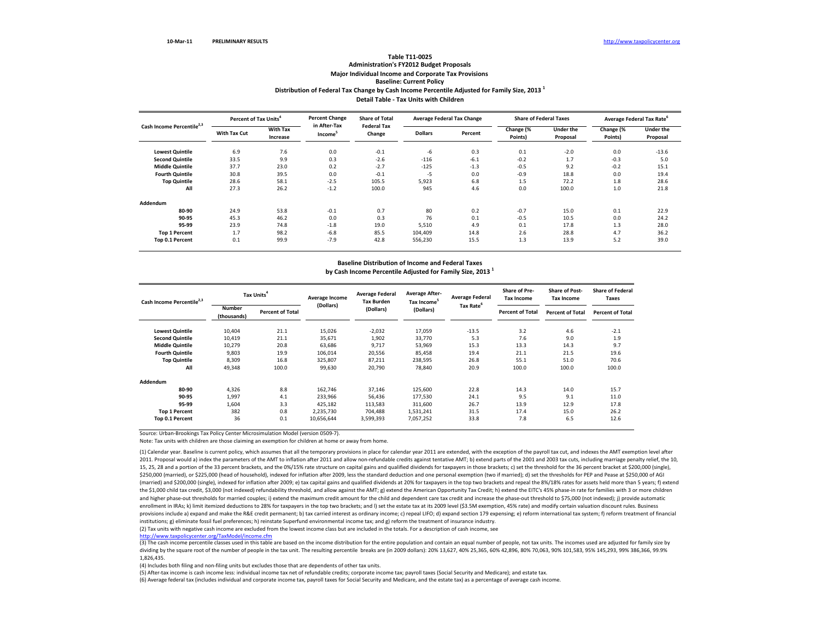## **Distribution of Federal Tax Change by Cash Income Percentile Adjusted for Family Size, <sup>2013</sup> <sup>1</sup> Detail Table ‐ Tax Units with Children Table T11‐0025 Administration's FY2012 Budget Proposals Major Individual Income and Corporate Tax Provisions Baseline: Current Policy**

| Cash Income Percentile <sup>2,3</sup> | Percent of Tax Units <sup>4</sup> |                             | <b>Percent Change</b>               | <b>Share of Total</b>        |                | Average Federal Tax Change |                      | <b>Share of Federal Taxes</b> | Average Federal Tax Rate <sup>6</sup> |                       |
|---------------------------------------|-----------------------------------|-----------------------------|-------------------------------------|------------------------------|----------------|----------------------------|----------------------|-------------------------------|---------------------------------------|-----------------------|
|                                       | <b>With Tax Cut</b>               | <b>With Tax</b><br>Increase | in After-Tax<br>Income <sup>5</sup> | <b>Federal Tax</b><br>Change | <b>Dollars</b> | Percent                    | Change (%<br>Points) | <b>Under the</b><br>Proposal  | Change (%<br>Points)                  | Under the<br>Proposal |
| <b>Lowest Quintile</b>                | 6.9                               | 7.6                         | 0.0                                 | $-0.1$                       | -6             | 0.3                        | 0.1                  | $-2.0$                        | 0.0                                   | $-13.6$               |
| <b>Second Quintile</b>                | 33.5                              | 9.9                         | 0.3                                 | $-2.6$                       | $-116$         | $-6.1$                     | $-0.2$               | 1.7                           | $-0.3$                                | 5.0                   |
| <b>Middle Quintile</b>                | 37.7                              | 23.0                        | 0.2                                 | $-2.7$                       | $-125$         | $-1.3$                     | $-0.5$               | 9.2                           | $-0.2$                                | 15.1                  |
| <b>Fourth Quintile</b>                | 30.8                              | 39.5                        | 0.0                                 | $-0.1$                       | $-5$           | 0.0                        | $-0.9$               | 18.8                          | 0.0                                   | 19.4                  |
| <b>Top Quintile</b>                   | 28.6                              | 58.1                        | $-2.5$                              | 105.5                        | 5,923          | 6.8                        | 1.5                  | 72.2                          | 1.8                                   | 28.6                  |
| All                                   | 27.3                              | 26.2                        | $-1.2$                              | 100.0                        | 945            | 4.6                        | 0.0                  | 100.0                         | 1.0                                   | 21.8                  |
| Addendum                              |                                   |                             |                                     |                              |                |                            |                      |                               |                                       |                       |
| 80-90                                 | 24.9                              | 53.8                        | $-0.1$                              | 0.7                          | 80             | 0.2                        | $-0.7$               | 15.0                          | 0.1                                   | 22.9                  |
| 90-95                                 | 45.3                              | 46.2                        | 0.0                                 | 0.3                          | 76             | 0.1                        | $-0.5$               | 10.5                          | 0.0                                   | 24.2                  |
| 95-99                                 | 23.9                              | 74.8                        | $-1.8$                              | 19.0                         | 5,510          | 4.9                        | 0.1                  | 17.8                          | 1.3                                   | 28.0                  |
| <b>Top 1 Percent</b>                  | 1.7                               | 98.2                        | $-6.8$                              | 85.5                         | 104,409        | 14.8                       | 2.6                  | 28.8                          | 4.7                                   | 36.2                  |
| Top 0.1 Percent                       | 0.1                               | 99.9                        | $-7.9$                              | 42.8                         | 556,230        | 15.5                       | 1.3                  | 13.9                          | 5.2                                   | 39.0                  |

### **Baseline Distribution of Income and Federal Taxes by Cash Income Percentile Adjusted for Family Size, <sup>2013</sup> <sup>1</sup>**

| Cash Income Percentile <sup>2,3</sup> | Tax Units                    |                         | Average Income | <b>Average Federal</b><br><b>Tax Burden</b> | <b>Average After-</b><br>Tax Income <sup>5</sup> | <b>Average Federal</b> | Share of Pre-<br><b>Tax Income</b> | <b>Share of Post-</b><br><b>Tax Income</b> | <b>Share of Federal</b><br>Taxes |
|---------------------------------------|------------------------------|-------------------------|----------------|---------------------------------------------|--------------------------------------------------|------------------------|------------------------------------|--------------------------------------------|----------------------------------|
|                                       | <b>Number</b><br>(thousands) | <b>Percent of Total</b> | (Dollars)      | (Dollars)                                   | (Dollars)                                        | Tax Rate <sup>6</sup>  | <b>Percent of Total</b>            | <b>Percent of Total</b>                    | <b>Percent of Total</b>          |
| <b>Lowest Quintile</b>                | 10,404                       | 21.1                    | 15,026         | $-2,032$                                    | 17,059                                           | $-13.5$                | 3.2                                | 4.6                                        | $-2.1$                           |
| <b>Second Quintile</b>                | 10,419                       | 21.1                    | 35,671         | 1,902                                       | 33,770                                           | 5.3                    | 7.6                                | 9.0                                        | 1.9                              |
| <b>Middle Quintile</b>                | 10,279                       | 20.8                    | 63,686         | 9,717                                       | 53,969                                           | 15.3                   | 13.3                               | 14.3                                       | 9.7                              |
| <b>Fourth Quintile</b>                | 9,803                        | 19.9                    | 106,014        | 20,556                                      | 85,458                                           | 19.4                   | 21.1                               | 21.5                                       | 19.6                             |
| <b>Top Quintile</b>                   | 8,309                        | 16.8                    | 325,807        | 87,211                                      | 238,595                                          | 26.8                   | 55.1                               | 51.0                                       | 70.6                             |
| All                                   | 49,348                       | 100.0                   | 99,630         | 20.790                                      | 78,840                                           | 20.9                   | 100.0                              | 100.0                                      | 100.0                            |
| Addendum                              |                              |                         |                |                                             |                                                  |                        |                                    |                                            |                                  |
| 80-90                                 | 4,326                        | 8.8                     | 162,746        | 37,146                                      | 125,600                                          | 22.8                   | 14.3                               | 14.0                                       | 15.7                             |
| 90-95                                 | 1,997                        | 4.1                     | 233,966        | 56,436                                      | 177,530                                          | 24.1                   | 9.5                                | 9.1                                        | 11.0                             |
| 95-99                                 | 1,604                        | 3.3                     | 425,182        | 113,583                                     | 311,600                                          | 26.7                   | 13.9                               | 12.9                                       | 17.8                             |
| <b>Top 1 Percent</b>                  | 382                          | 0.8                     | 2,235,730      | 704,488                                     | 1,531,241                                        | 31.5                   | 17.4                               | 15.0                                       | 26.2                             |
| Top 0.1 Percent                       | 36                           | 0.1                     | 10,656,644     | 3,599,393                                   | 7,057,252                                        | 33.8                   | 7.8                                | 6.5                                        | 12.6                             |

Source: Urban‐Brookings Tax Policy Center Microsimulation Model (version 0509‐7).

Note: Tax units with children are those claiming an exemption for children at home or away from home.

(1) Calendar year. Baseline is current policy, which assumes that all the temporary provisions in place for calendar year 2011 are extended, with the exception of the payroll tax cut, and indexes the AMT exemption level af 2011. Proposal would a) index the parameters of the AMT to inflation after 2011 and allow non-refundable credits against tentative AMT; b) extend parts of the 2001 and 2003 tax cuts, including marriage penalty relief, the 15, 25, 28 and a portion of the 33 percent brackets, and the 0%/15% rate structure on capital gains and qualified dividends for taxpayers in those brackets; c) set the threshold for the 36 percent bracket at \$200,000 (sing \$250,000 (married), or \$225,000 (head of household), indexed for inflation after 2009, less the standard deduction and one personal exemption (two if married); d) set the thresholds for PEP and Pease at \$250,000 of AGI (married) and \$200,000 (single), indexed for inflation after 2009; e) tax capital gains and qualified dividends at 20% for taxpayers in the top two brackets and repeal the 8%/18% rates for assets held more than 5 years; f) the \$1,000 child tax credit, \$3,000 (not indexed) refundability threshold, and allow against the AMT; g) extend the American Opportunity Tax Credit; h) extend the EITC's 45% phase-in rate for families with 3 or more childr and higher phase‐out thresholds for married couples; i) extend the maximum credit amount for the child and dependent care tax credit and increase the phase‐out threshold to \$75,000 (not indexed); j) provide automatic enrollment in IRAs; k) limit itemized deductions to 28% for taxpayers in the top two brackets; and I) set the estate tax at its 2009 level (\$3.5M exemption, 45% rate) and modify certain valuation discount rules. Business provisions include a) expand and make the R&E credit permanent; b) tax carried interest as ordinary income; c) repeal LIFO; d) expand section 179 expensing; e) reform international tax system; f) reform treatment of financ institutions; g) eliminate fossil fuel preferences; h) reinstate Superfund environmental income tax; and g) reform the treatment of insurance industry.

(2) Tax units with negative cash income are excluded from the lowest income class but are included in the totals. For <sup>a</sup> description of cash income, see

http://www.taxpolicycenter.org/TaxModel/income.cfm

(3) The cash income percentile classes used in this table are based on the income distribution for the entire population and contain an equal number of people, not tax units. The incomes used are adjusted for family size b dividing by the square root of the number of people in the tax unit. The resulting percentile breaks are (in 2009 dollars): 20% 13,627, 40% 25,365, 60% 42,896, 80% 70,063, 90% 101,583, 95% 145,293, 99% 386,366, 99.9% 1,826,435.

(4) Includes both filing and non‐filing units but excludes those that are dependents of other tax units.

(5) After‐tax income is cash income less: individual income tax net of refundable credits; corporate income tax; payroll taxes (Social Security and Medicare); and estate tax. (6) Average federal tax (includes individual and corporate income tax, payroll taxes for Social Security and Medicare, and the estate tax) as <sup>a</sup> percentage of average cash income.